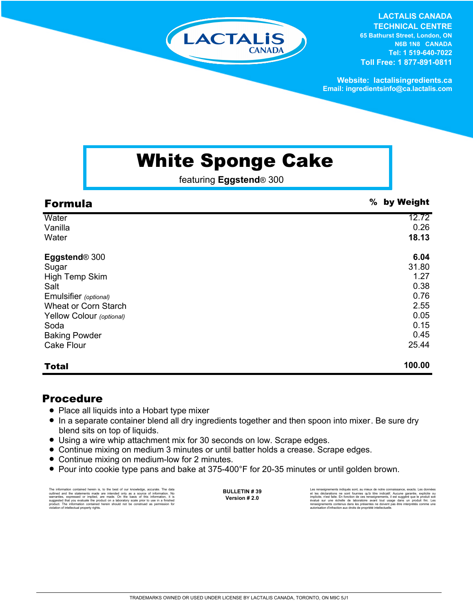# LACTALIS **CANADA**

**LACTALIS CANADA TECHNICAL CENTRE 65 Bathurst Street, London, ON N6B 1N8 CANADA Tel: 1 519-640-7022 Toll Free: 1 877-891-0811**

**Website: lactalisingredients.ca Email: ingredientsinfo@ca.lactalis.com**

## White Sponge Cake

featuring **Eggstend**® 300

| <b>Formula</b>              | % by Weight |
|-----------------------------|-------------|
| Water                       | 12.72       |
| Vanilla                     | 0.26        |
| Water                       | 18.13       |
| Eggstend <sup>®</sup> 300   | 6.04        |
| Sugar                       | 31.80       |
| High Temp Skim              | 1.27        |
| Salt                        | 0.38        |
| Emulsifier (optional)       | 0.76        |
| <b>Wheat or Corn Starch</b> | 2.55        |
| Yellow Colour (optional)    | 0.05        |
| Soda                        | 0.15        |
| <b>Baking Powder</b>        | 0.45        |
| <b>Cake Flour</b>           | 25.44       |
| <b>Total</b>                | 100.00      |

#### Procedure

- Place all liquids into a Hobart type mixer
- In a separate container blend all dry ingredients together and then spoon into mixer. Be sure dry blend sits on top of liquids.
- Using a wire whip attachment mix for 30 seconds on low. Scrape edges.
- Continue mixing on medium 3 minutes or until batter holds a crease. Scrape edges.
- Continue mixing on medium-low for 2 minutes.
- Pour into cookie type pans and bake at 375-400°F for 20-35 minutes or until golden brown.

The information contained herein is, to the best of our knowledge, accurate. The data<br>cutlined and the statements made are intended only as a source of information. No<br>warranties, expressed or implied, are made. On the bas

**BULLETIN # 39 Version # 2.0**

Les renseignements indiqués sont, au mieux de notre connaissance, exacts. Les docurées<br>et les déclarations ne sont fournies qu'à titre indicatif. Aucune garantie, explicite ou<br>implicite, n'est faite. En fonction de ces ren

TRADEMARKS OWNED OR USED UNDER LICENSE BY LACTALIS CANADA, TORONTO, ON M9C 5J1